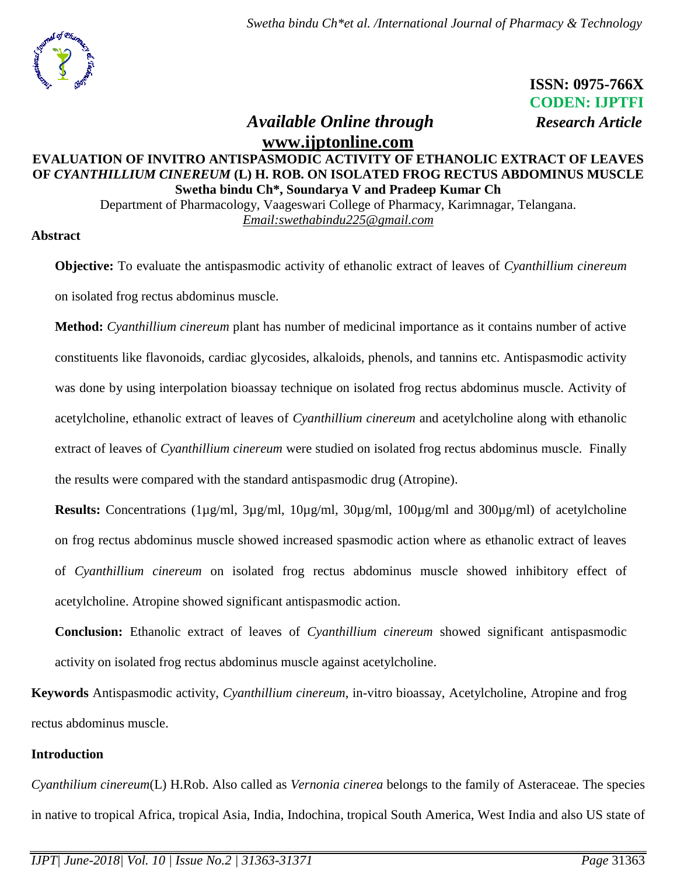

 **ISSN: 0975-766X CODEN: IJPTFI**

# *Available Online through Research Article* **[www.ijptonline.com](http://www.ijptonline.com/)**

# **EVALUATION OF INVITRO ANTISPASMODIC ACTIVITY OF ETHANOLIC EXTRACT OF LEAVES OF** *CYANTHILLIUM CINEREUM* **(L) H. ROB. ON ISOLATED FROG RECTUS ABDOMINUS MUSCLE Swetha bindu Ch\*, Soundarya V and Pradeep Kumar Ch**

Department of Pharmacology, Vaageswari College of Pharmacy, Karimnagar, Telangana. *Email:swethabindu225@gmail.com*

### **Abstract**

**Objective:** To evaluate the antispasmodic activity of ethanolic extract of leaves of *Cyanthillium cinereum*  on isolated frog rectus abdominus muscle.

**Method:** *Cyanthillium cinereum* plant has number of medicinal importance as it contains number of active constituents like flavonoids, cardiac glycosides, alkaloids, phenols, and tannins etc. Antispasmodic activity was done by using interpolation bioassay technique on isolated frog rectus abdominus muscle. Activity of acetylcholine, ethanolic extract of leaves of *Cyanthillium cinereum* and acetylcholine along with ethanolic extract of leaves of *Cyanthillium cinereum* were studied on isolated frog rectus abdominus muscle. Finally the results were compared with the standard antispasmodic drug (Atropine).

**Results:** Concentrations (1µg/ml, 3µg/ml, 10µg/ml, 30µg/ml, 100µg/ml and 300µg/ml) of acetylcholine on frog rectus abdominus muscle showed increased spasmodic action where as ethanolic extract of leaves of *Cyanthillium cinereum* on isolated frog rectus abdominus muscle showed inhibitory effect of acetylcholine. Atropine showed significant antispasmodic action.

**Conclusion:** Ethanolic extract of leaves of *Cyanthillium cinereum* showed significant antispasmodic activity on isolated frog rectus abdominus muscle against acetylcholine.

**Keywords** Antispasmodic activity, *Cyanthillium cinereum*, in-vitro bioassay, Acetylcholine, Atropine and frog rectus abdominus muscle.

# **Introduction**

*Cyanthilium cinereum*(L) H.Rob. Also called as *Vernonia cinerea* belongs to the family of Asteraceae. The species in native to tropical Africa, tropical Asia, India, Indochina, tropical South America, West India and also US state of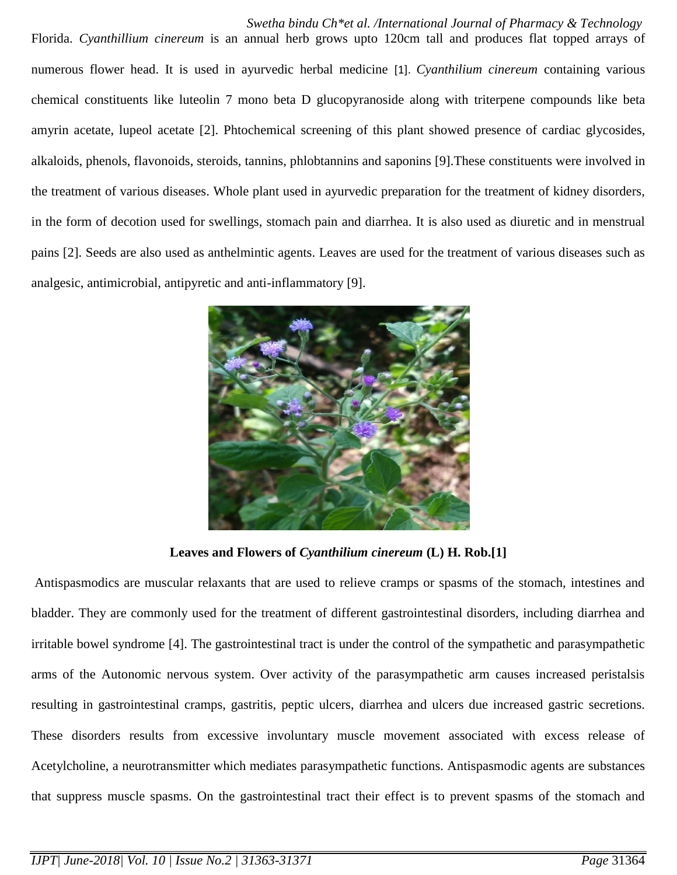*Swetha bindu Ch\*et al. /International Journal of Pharmacy & Technology*

Florida. *Cyanthillium cinereum* is an annual herb grows upto 120cm tall and produces flat topped arrays of numerous flower head. It is used in ayurvedic herbal medicine [1]. *Cyanthilium cinereum* containing various chemical constituents like luteolin 7 mono beta D glucopyranoside along with triterpene compounds like beta amyrin acetate, lupeol acetate [2]. Phtochemical screening of this plant showed presence of cardiac glycosides, alkaloids, phenols, flavonoids, steroids, tannins, phlobtannins and saponins [9].These constituents were involved in the treatment of various diseases. Whole plant used in ayurvedic preparation for the treatment of kidney disorders, in the form of decotion used for swellings, stomach pain and diarrhea. It is also used as diuretic and in menstrual pains [2]. Seeds are also used as anthelmintic agents. Leaves are used for the treatment of various diseases such as analgesic, antimicrobial, antipyretic and anti-inflammatory [9].



**Leaves and Flowers of** *Cyanthilium cinereum* **(L) H. Rob.[1]**

Antispasmodics are muscular relaxants that are used to relieve cramps or spasms of the stomach, intestines and bladder. They are commonly used for the treatment of different gastrointestinal disorders, including diarrhea and irritable bowel syndrome [4]. The gastrointestinal tract is under the control of the sympathetic and parasympathetic arms of the Autonomic nervous system. Over activity of the parasympathetic arm causes increased peristalsis resulting in gastrointestinal cramps, gastritis, peptic ulcers, diarrhea and ulcers due increased gastric secretions. These disorders results from excessive involuntary muscle movement associated with excess release of Acetylcholine, a neurotransmitter which mediates parasympathetic functions. Antispasmodic agents are substances that suppress muscle spasms. On the gastrointestinal tract their effect is to prevent spasms of the stomach and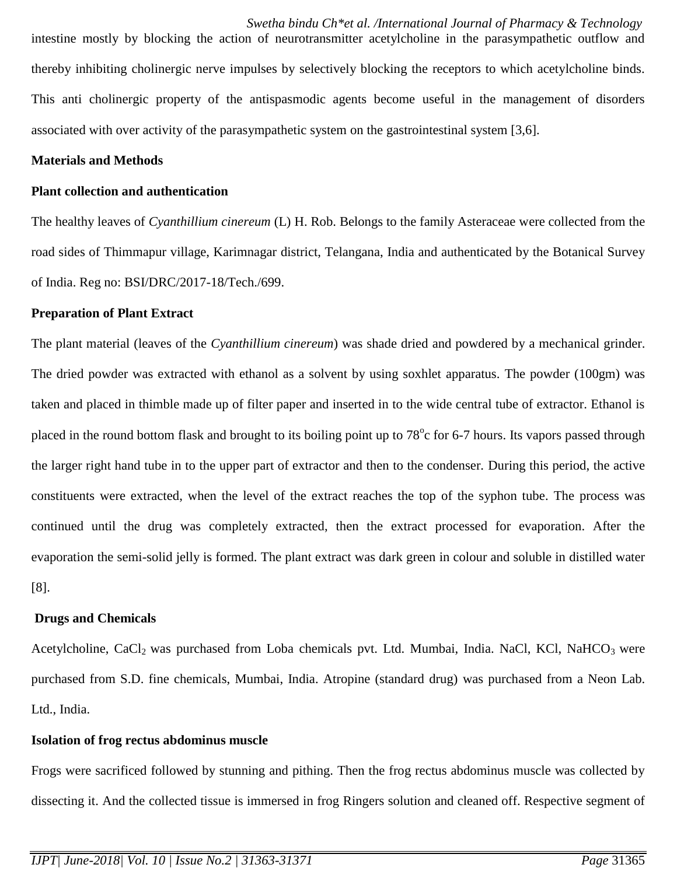*Swetha bindu Ch\*et al. /International Journal of Pharmacy & Technology* intestine mostly by blocking the action of neurotransmitter acetylcholine in the parasympathetic outflow and thereby inhibiting cholinergic nerve impulses by selectively blocking the receptors to which acetylcholine binds. This anti cholinergic property of the antispasmodic agents become useful in the management of disorders associated with over activity of the parasympathetic system on the gastrointestinal system [3,6].

#### **Materials and Methods**

#### **Plant collection and authentication**

The healthy leaves of *Cyanthillium cinereum* (L) H. Rob. Belongs to the family Asteraceae were collected from the road sides of Thimmapur village, Karimnagar district, Telangana, India and authenticated by the Botanical Survey of India. Reg no: BSI/DRC/2017-18/Tech./699.

#### **Preparation of Plant Extract**

The plant material (leaves of the *Cyanthillium cinereum*) was shade dried and powdered by a mechanical grinder. The dried powder was extracted with ethanol as a solvent by using soxhlet apparatus. The powder (100gm) was taken and placed in thimble made up of filter paper and inserted in to the wide central tube of extractor. Ethanol is placed in the round bottom flask and brought to its boiling point up to 78°c for 6-7 hours. Its vapors passed through the larger right hand tube in to the upper part of extractor and then to the condenser. During this period, the active constituents were extracted, when the level of the extract reaches the top of the syphon tube. The process was continued until the drug was completely extracted, then the extract processed for evaporation. After the evaporation the semi-solid jelly is formed. The plant extract was dark green in colour and soluble in distilled water [8].

#### **Drugs and Chemicals**

Acetylcholine, CaCl<sub>2</sub> was purchased from Loba chemicals pvt. Ltd. Mumbai, India. NaCl, KCl, NaHCO<sub>3</sub> were purchased from S.D. fine chemicals, Mumbai, India. Atropine (standard drug) was purchased from a Neon Lab. Ltd., India.

### **Isolation of frog rectus abdominus muscle**

Frogs were sacrificed followed by stunning and pithing. Then the frog rectus abdominus muscle was collected by dissecting it. And the collected tissue is immersed in frog Ringers solution and cleaned off. Respective segment of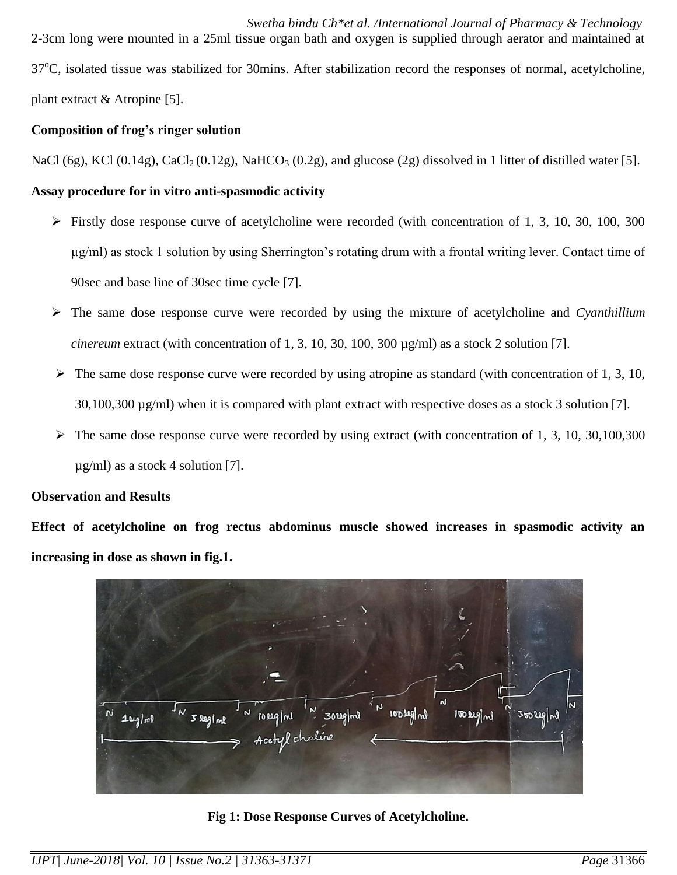*Swetha bindu Ch\*et al. /International Journal of Pharmacy & Technology* 2-3cm long were mounted in a 25ml tissue organ bath and oxygen is supplied through aerator and maintained at  $37^{\circ}$ C, isolated tissue was stabilized for 30mins. After stabilization record the responses of normal, acetylcholine, plant extract & Atropine [5].

# **Composition of frog's ringer solution**

NaCl (6g), KCl (0.14g), CaCl<sub>2</sub> (0.12g), NaHCO<sub>3</sub> (0.2g), and glucose (2g) dissolved in 1 litter of distilled water [5].

### **Assay procedure for in vitro anti-spasmodic activity**

- $\triangleright$  Firstly dose response curve of acetylcholine were recorded (with concentration of 1, 3, 10, 30, 100, 300 µg/ml) as stock 1 solution by using Sherrington's rotating drum with a frontal writing lever. Contact time of 90sec and base line of 30sec time cycle [7].
- The same dose response curve were recorded by using the mixture of acetylcholine and *Cyanthillium cinereum* extract (with concentration of 1, 3, 10, 30, 100, 300  $\mu$ g/ml) as a stock 2 solution [7].
- $\triangleright$  The same dose response curve were recorded by using atropine as standard (with concentration of 1, 3, 10, 30,100,300 µg/ml) when it is compared with plant extract with respective doses as a stock 3 solution [7].
- $\triangleright$  The same dose response curve were recorded by using extract (with concentration of 1, 3, 10, 30,100,300 µg/ml) as a stock 4 solution [7].

#### **Observation and Results**

**Effect of acetylcholine on frog rectus abdominus muscle showed increases in spasmodic activity an increasing in dose as shown in fig.1.**

**N** ' N JN 3 leg/one  $100$   $kg/m$  $100$  eight  $300$ lleg/ml  $Im[gus]$  $30209$ mg  $104/m$ Acetyl chaline

**Fig 1: Dose Response Curves of Acetylcholine.**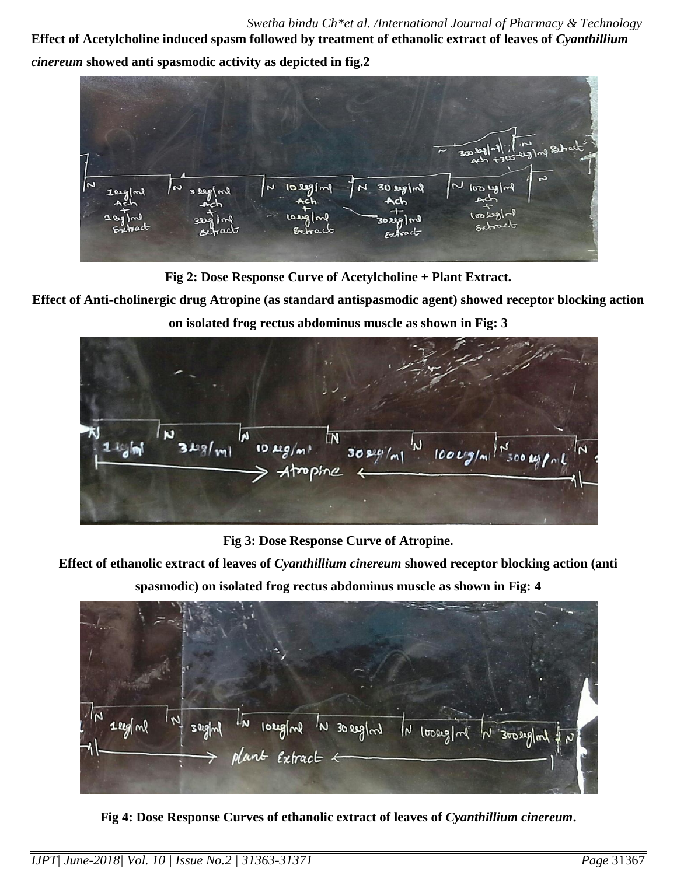**Effect of Acetylcholine induced spasm followed by treatment of ethanolic extract of leaves of** *Cyanthillium* 

*cinereum* **showed anti spasmodic activity as depicted in fig.2**



**Fig 2: Dose Response Curve of Acetylcholine + Plant Extract.**

**Effect of Anti-cholinergic drug Atropine (as standard antispasmodic agent) showed receptor blocking action** 



ی ا ام  $3228/m$  $1 \log |m|$  $10\,kg/m$  $\frac{1}{300}$  *M*  $30920^{1}$ لہ ا  $100Uy/m!$ Atropine

**Fig 3: Dose Response Curve of Atropine.**

**Effect of ethanolic extract of leaves of** *Cyanthillium cinereum* **showed receptor blocking action (anti** 





**Fig 4: Dose Response Curves of ethanolic extract of leaves of** *Cyanthillium cinereum***.**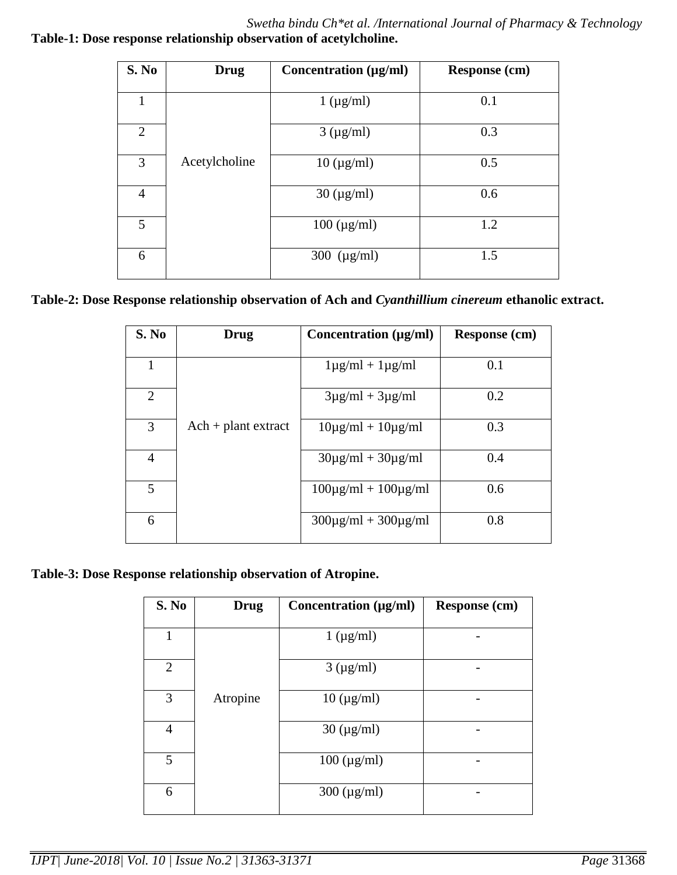# *Swetha bindu Ch\*et al. /International Journal of Pharmacy & Technology* **Table-1: Dose response relationship observation of acetylcholine.**

| S. No          | Drug          | Concentration (µg/ml)    | <b>Response (cm)</b> |
|----------------|---------------|--------------------------|----------------------|
| 1              |               | $1 \text{ (µg/ml)}$      | 0.1                  |
| $\overline{2}$ |               | $3 \text{ (µg/ml)}$      | 0.3                  |
| 3              | Acetylcholine | $10 \, (\mu\text{g/ml})$ | 0.5                  |
| $\overline{4}$ |               | $30 \text{ (µg/ml)}$     | 0.6                  |
| 5              |               | $100 \text{ (µg/ml)}$    | 1.2                  |
| 6              |               | 300 $(\mu g/ml)$         | 1.5                  |

**Table-2: Dose Response relationship observation of Ach and** *Cyanthillium cinereum* **ethanolic extract.**

| S. No                       | Drug                  | Concentration (µg/ml)                   | <b>Response (cm)</b> |
|-----------------------------|-----------------------|-----------------------------------------|----------------------|
| 1                           |                       | $1\mu g/ml + 1\mu g/ml$                 | 0.1                  |
| $\mathcal{D}_{\mathcal{L}}$ |                       | $3\mu$ g/ml + $3\mu$ g/ml               | 0.2                  |
| 3                           | $Ach + plant extract$ | $10\mu\text{g/ml} + 10\mu\text{g/ml}$   | 0.3                  |
| 4                           |                       | $30\mu$ g/ml + $30\mu$ g/ml             | 0.4                  |
| 5                           |                       | $100\mu\text{g/ml} + 100\mu\text{g/ml}$ | 0.6                  |
| 6                           |                       | $300\mu\text{g/ml} + 300\mu\text{g/ml}$ | 0.8                  |

**Table-3: Dose Response relationship observation of Atropine.**

| S. No          | <b>Drug</b> | Concentration (µg/ml)     | <b>Response (cm)</b> |
|----------------|-------------|---------------------------|----------------------|
| 1              |             | $1 \text{ (µg/ml)}$       |                      |
| $\overline{2}$ |             | $3 \text{ (µg/ml)}$       |                      |
| 3              | Atropine    | $10 \text{ (µg/ml)}$      |                      |
| 4              |             | $30 \text{ (µg/ml)}$      |                      |
| 5              |             | $100 \ (\mu g/ml)$        |                      |
| 6              |             | $300 \, (\mu\text{g/ml})$ |                      |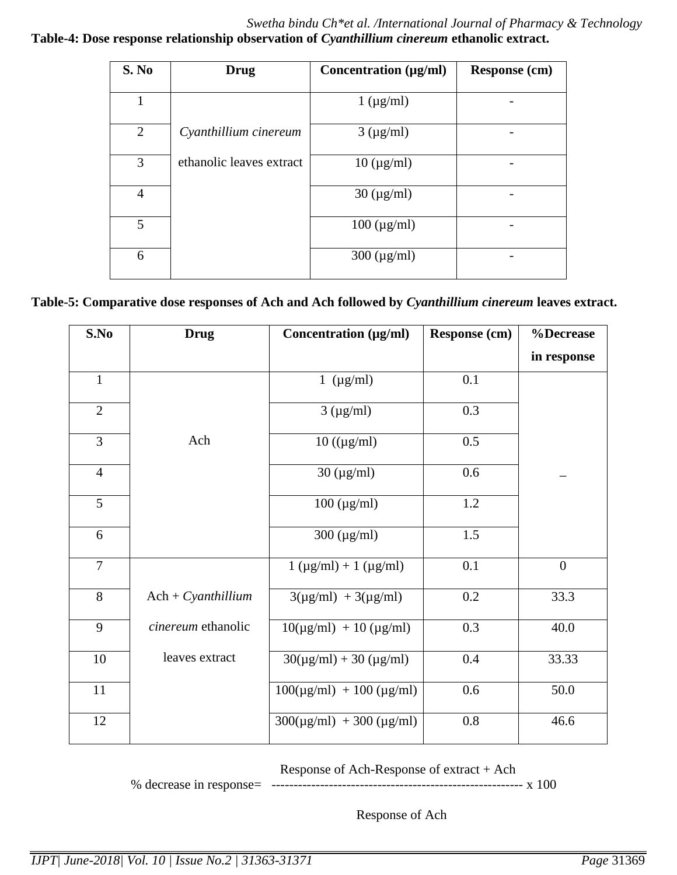# *Swetha bindu Ch\*et al. /International Journal of Pharmacy & Technology* **Table-4: Dose response relationship observation of** *Cyanthillium cinereum* **ethanolic extract.**

| S. No          | Drug                     | Concentration (µg/ml)     | <b>Response (cm)</b> |
|----------------|--------------------------|---------------------------|----------------------|
|                |                          | $1 \text{ (µg/ml)}$       |                      |
| 2              | Cyanthillium cinereum    | $3 \text{ (µg/ml)}$       |                      |
| 3              | ethanolic leaves extract | $10 \text{ (µg/ml)}$      |                      |
| $\overline{4}$ |                          | $30 \text{ (µg/ml)}$      |                      |
| 5              |                          | $100 \text{ (µg/ml)}$     |                      |
| 6              |                          | $300 \, (\mu\text{g/ml})$ |                      |

# **Table-5: Comparative dose responses of Ach and Ach followed by** *Cyanthillium cinereum* **leaves extract.**

| S.No           | <b>Drug</b>          | Concentration (µg/ml)                        | <b>Response (cm)</b> | %Decrease      |
|----------------|----------------------|----------------------------------------------|----------------------|----------------|
|                |                      |                                              |                      | in response    |
| $\mathbf{1}$   |                      | 1 ( $\mu$ g/ml)                              | 0.1                  |                |
| $\overline{2}$ |                      | $3 \text{ (µg/ml)}$                          | 0.3                  |                |
| $\overline{3}$ | Ach                  | $10 \left( \mu \text{g/ml} \right)$          | 0.5                  |                |
| $\overline{4}$ |                      | $30 \, (\mu g/ml)$                           | 0.6                  |                |
| $\overline{5}$ |                      | $100 \text{ (µg/ml)}$                        | 1.2                  |                |
| 6              |                      | $300 \, (\mu g/ml)$                          | 1.5                  |                |
| $\overline{7}$ |                      | $1 (\mu g/ml) + 1 (\mu g/ml)$                | 0.1                  | $\overline{0}$ |
| 8              | $Ach + Cyanthillium$ | $3(\mu\text{g/ml}) + 3(\mu\text{g/ml})$      | 0.2                  | 33.3           |
| 9              | cinereum ethanolic   | $10(\mu\text{g/ml}) + 10 (\mu\text{g/ml})$   | $\overline{0.3}$     | 40.0           |
| 10             | leaves extract       | $30(\mu g/ml) + 30 (\mu g/ml)$               | 0.4                  | 33.33          |
| 11             |                      | $100(\mu\text{g/ml}) + 100 (\mu\text{g/ml})$ | 0.6                  | 50.0           |
| 12             |                      | $300(\mu\text{g/ml}) + 300 (\mu\text{g/ml})$ | 0.8                  | 46.6           |
|                |                      |                                              |                      |                |

Response of Ach-Response of extract + Ach

% decrease in response= --------------------------------------------------------- x 100

Response of Ach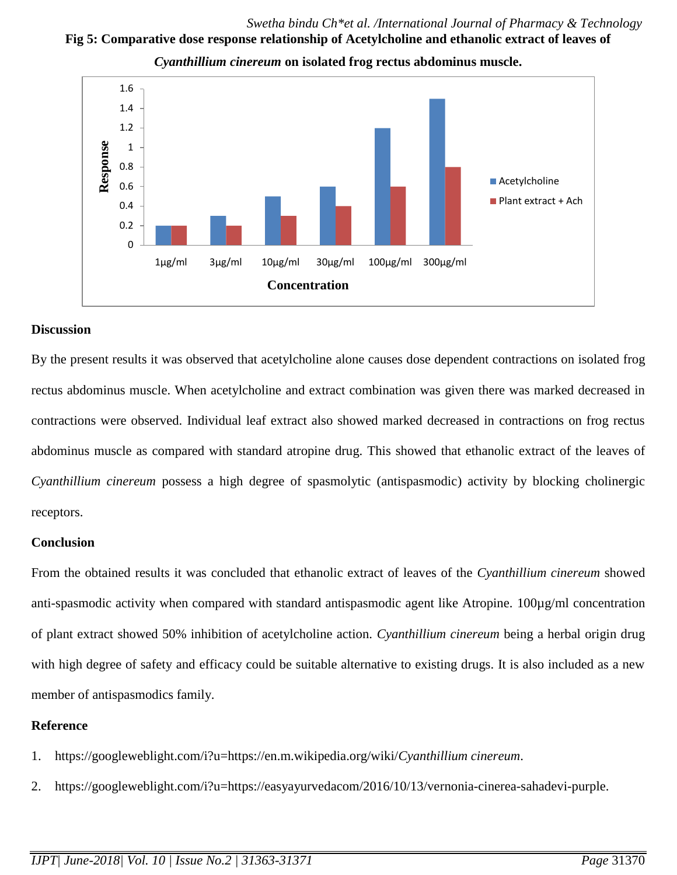*Swetha bindu Ch\*et al. /International Journal of Pharmacy & Technology*





#### *Cyanthillium cinereum* **on isolated frog rectus abdominus muscle.**

#### **Discussion**

By the present results it was observed that acetylcholine alone causes dose dependent contractions on isolated frog rectus abdominus muscle. When acetylcholine and extract combination was given there was marked decreased in contractions were observed. Individual leaf extract also showed marked decreased in contractions on frog rectus abdominus muscle as compared with standard atropine drug. This showed that ethanolic extract of the leaves of *Cyanthillium cinereum* possess a high degree of spasmolytic (antispasmodic) activity by blocking cholinergic receptors.

#### **Conclusion**

From the obtained results it was concluded that ethanolic extract of leaves of the *Cyanthillium cinereum* showed anti-spasmodic activity when compared with standard antispasmodic agent like Atropine. 100µg/ml concentration of plant extract showed 50% inhibition of acetylcholine action. *Cyanthillium cinereum* being a herbal origin drug with high degree of safety and efficacy could be suitable alternative to existing drugs. It is also included as a new member of antispasmodics family.

#### **Reference**

- 1. [https://googleweblight.com/i?u=https://en.m.wikipedia.org/wiki/](https://googleweblight.com/i?u=https://en.m.wikipedia.org/wiki/Cyanthillium)*Cyanthillium cinereum*.
- 2. https://googleweblight.com/i?u=https://easyayurvedacom/2016/10/13/vernonia-cinerea-sahadevi-purple.